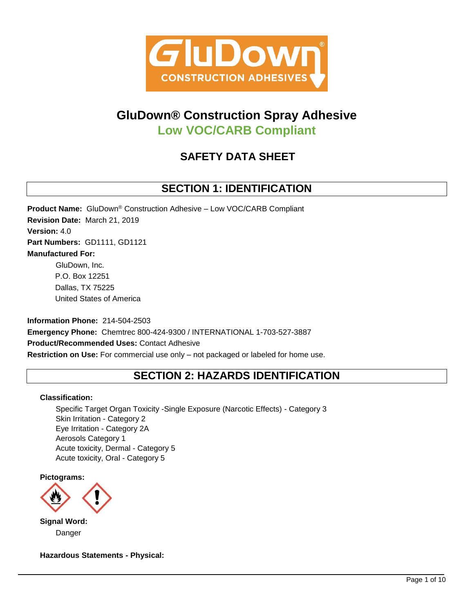

# **GluDown® Construction Spray Adhesive Low VOC/CARB Compliant**

# **SAFETY DATA SHEET**

# **SECTION 1: IDENTIFICATION**

**Product Name:** GluDown® Construction Adhesive – Low VOC/CARB Compliant **Revision Date:** March 21, 2019 **Version:** 4.0 **Part Numbers:** GD1111, GD1121 **Manufactured For:** GluDown, Inc. P.O. Box 12251 Dallas, TX 75225

**Information Phone:** 214-504-2503 **Emergency Phone:** Chemtrec 800-424-9300 / INTERNATIONAL 1-703-527-3887 **Product/Recommended Uses:** Contact Adhesive **Restriction on Use:** For commercial use only – not packaged or labeled for home use.

# **SECTION 2: HAZARDS IDENTIFICATION**

# **Classification:**

United States of America

Specific Target Organ Toxicity -Single Exposure (Narcotic Effects) - Category 3 Skin Irritation - Category 2 Eye Irritation - Category 2A Aerosols Category 1 Acute toxicity, Dermal - Category 5 Acute toxicity, Oral - Category 5

**Pictograms:**



**Signal Word:** Danger

**Hazardous Statements - Physical:**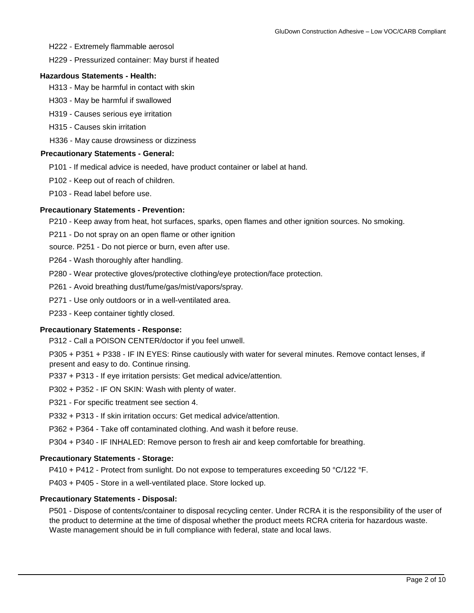H222 - Extremely flammable aerosol

H229 - Pressurized container: May burst if heated

#### **Hazardous Statements - Health:**

- H313 May be harmful in contact with skin
- H303 May be harmful if swallowed
- H319 Causes serious eye irritation
- H315 Causes skin irritation
- H336 May cause drowsiness or dizziness

### **Precautionary Statements - General:**

- P101 If medical advice is needed, have product container or label at hand.
- P102 Keep out of reach of children.
- P103 Read label before use.

#### **Precautionary Statements - Prevention:**

P210 - Keep away from heat, hot surfaces, sparks, open flames and other ignition sources. No smoking.

P211 - Do not spray on an open flame or other ignition

source. P251 - Do not pierce or burn, even after use.

- P264 Wash thoroughly after handling.
- P280 Wear protective gloves/protective clothing/eye protection/face protection.
- P261 Avoid breathing dust/fume/gas/mist/vapors/spray.
- P271 Use only outdoors or in a well-ventilated area.
- P233 Keep container tightly closed.

### **Precautionary Statements - Response:**

P312 - Call a POISON CENTER/doctor if you feel unwell.

P305 + P351 + P338 - IF IN EYES: Rinse cautiously with water for several minutes. Remove contact lenses, if present and easy to do. Continue rinsing.

- P337 + P313 If eye irritation persists: Get medical advice/attention.
- P302 + P352 IF ON SKIN: Wash with plenty of water.
- P321 For specific treatment see section 4.
- P332 + P313 If skin irritation occurs: Get medical advice/attention.
- P362 + P364 Take off contaminated clothing. And wash it before reuse.
- P304 + P340 IF INHALED: Remove person to fresh air and keep comfortable for breathing.

### **Precautionary Statements - Storage:**

- P410 + P412 Protect from sunlight. Do not expose to temperatures exceeding 50 °C/122 °F.
- P403 + P405 Store in a well-ventilated place. Store locked up.

### **Precautionary Statements - Disposal:**

P501 - Dispose of contents/container to disposal recycling center. Under RCRA it is the responsibility of the user of the product to determine at the time of disposal whether the product meets RCRA criteria for hazardous waste. Waste management should be in full compliance with federal, state and local laws.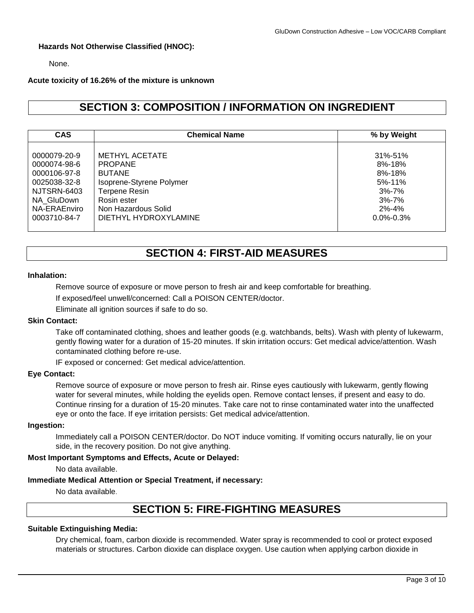# **Hazards Not Otherwise Classified (HNOC):**

None.

### **Acute toxicity of 16.26% of the mixture is unknown**

# **SECTION 3: COMPOSITION / INFORMATION ON INGREDIENT**

| <b>CAS</b>   | <b>Chemical Name</b>              | % by Weight     |  |  |  |
|--------------|-----------------------------------|-----------------|--|--|--|
|              |                                   |                 |  |  |  |
| 0000079-20-9 | <b>METHYL ACETATE</b>             | 31%-51%         |  |  |  |
| 0000074-98-6 | <b>PROPANE</b>                    | $8\% - 18\%$    |  |  |  |
| 0000106-97-8 | <b>BUTANE</b>                     | $8\% - 18\%$    |  |  |  |
| 0025038-32-8 | Isoprene-Styrene Polymer          | $5% - 11%$      |  |  |  |
| NJTSRN-6403  | <b>Terpene Resin</b><br>$3% - 7%$ |                 |  |  |  |
| NA GluDown   | Rosin ester                       | $3% - 7%$       |  |  |  |
| NA-ERAEnviro | Non Hazardous Solid               | $2\% - 4\%$     |  |  |  |
| 0003710-84-7 | DIETHYL HYDROXYLAMINE             | $0.0\% - 0.3\%$ |  |  |  |

# **SECTION 4: FIRST-AID MEASURES**

#### **Inhalation:**

Remove source of exposure or move person to fresh air and keep comfortable for breathing.

If exposed/feel unwell/concerned: Call a POISON CENTER/doctor.

Eliminate all ignition sources if safe to do so.

### **Skin Contact:**

Take off contaminated clothing, shoes and leather goods (e.g. watchbands, belts). Wash with plenty of lukewarm, gently flowing water for a duration of 15-20 minutes. If skin irritation occurs: Get medical advice/attention. Wash contaminated clothing before re-use.

IF exposed or concerned: Get medical advice/attention.

## **Eye Contact:**

Remove source of exposure or move person to fresh air. Rinse eyes cautiously with lukewarm, gently flowing water for several minutes, while holding the eyelids open. Remove contact lenses, if present and easy to do. Continue rinsing for a duration of 15-20 minutes. Take care not to rinse contaminated water into the unaffected eye or onto the face. If eye irritation persists: Get medical advice/attention.

# **Ingestion:**

Immediately call a POISON CENTER/doctor. Do NOT induce vomiting. If vomiting occurs naturally, lie on your side, in the recovery position. Do not give anything.

### **Most Important Symptoms and Effects, Acute or Delayed:**

No data available.

### **Immediate Medical Attention or Special Treatment, if necessary:**

No data available.

# **SECTION 5: FIRE-FIGHTING MEASURES**

### **Suitable Extinguishing Media:**

Dry chemical, foam, carbon dioxide is recommended. Water spray is recommended to cool or protect exposed materials or structures. Carbon dioxide can displace oxygen. Use caution when applying carbon dioxide in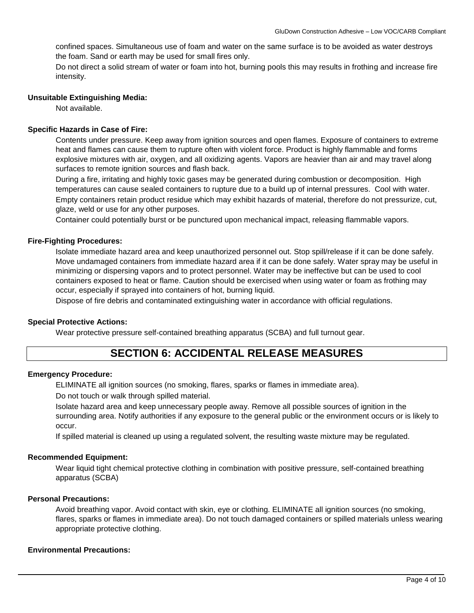confined spaces. Simultaneous use of foam and water on the same surface is to be avoided as water destroys the foam. Sand or earth may be used for small fires only.

Do not direct a solid stream of water or foam into hot, burning pools this may results in frothing and increase fire intensity.

### **Unsuitable Extinguishing Media:**

Not available.

## **Specific Hazards in Case of Fire:**

Contents under pressure. Keep away from ignition sources and open flames. Exposure of containers to extreme heat and flames can cause them to rupture often with violent force. Product is highly flammable and forms explosive mixtures with air, oxygen, and all oxidizing agents. Vapors are heavier than air and may travel along surfaces to remote ignition sources and flash back.

During a fire, irritating and highly toxic gases may be generated during combustion or decomposition. High temperatures can cause sealed containers to rupture due to a build up of internal pressures. Cool with water. Empty containers retain product residue which may exhibit hazards of material, therefore do not pressurize, cut, glaze, weld or use for any other purposes.

Container could potentially burst or be punctured upon mechanical impact, releasing flammable vapors.

### **Fire-Fighting Procedures:**

Isolate immediate hazard area and keep unauthorized personnel out. Stop spill/release if it can be done safely. Move undamaged containers from immediate hazard area if it can be done safely. Water spray may be useful in minimizing or dispersing vapors and to protect personnel. Water may be ineffective but can be used to cool containers exposed to heat or flame. Caution should be exercised when using water or foam as frothing may occur, especially if sprayed into containers of hot, burning liquid.

Dispose of fire debris and contaminated extinguishing water in accordance with official regulations.

### **Special Protective Actions:**

Wear protective pressure self-contained breathing apparatus (SCBA) and full turnout gear.

# **SECTION 6: ACCIDENTAL RELEASE MEASURES**

## **Emergency Procedure:**

ELIMINATE all ignition sources (no smoking, flares, sparks or flames in immediate area).

Do not touch or walk through spilled material.

Isolate hazard area and keep unnecessary people away. Remove all possible sources of ignition in the surrounding area. Notify authorities if any exposure to the general public or the environment occurs or is likely to occur.

If spilled material is cleaned up using a regulated solvent, the resulting waste mixture may be regulated.

### **Recommended Equipment:**

Wear liquid tight chemical protective clothing in combination with positive pressure, self-contained breathing apparatus (SCBA)

### **Personal Precautions:**

Avoid breathing vapor. Avoid contact with skin, eye or clothing. ELIMINATE all ignition sources (no smoking, flares, sparks or flames in immediate area). Do not touch damaged containers or spilled materials unless wearing appropriate protective clothing.

### **Environmental Precautions:**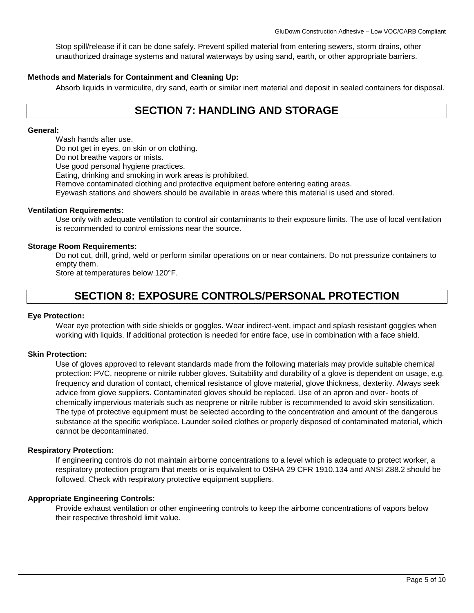Stop spill/release if it can be done safely. Prevent spilled material from entering sewers, storm drains, other unauthorized drainage systems and natural waterways by using sand, earth, or other appropriate barriers.

## **Methods and Materials for Containment and Cleaning Up:**

Absorb liquids in vermiculite, dry sand, earth or similar inert material and deposit in sealed containers for disposal.

# **SECTION 7: HANDLING AND STORAGE**

#### **General:**

Wash hands after use.

Do not get in eyes, on skin or on clothing.

Do not breathe vapors or mists.

Use good personal hygiene practices.

Eating, drinking and smoking in work areas is prohibited.

Remove contaminated clothing and protective equipment before entering eating areas.

Eyewash stations and showers should be available in areas where this material is used and stored.

### **Ventilation Requirements:**

Use only with adequate ventilation to control air contaminants to their exposure limits. The use of local ventilation is recommended to control emissions near the source.

# **Storage Room Requirements:**

Do not cut, drill, grind, weld or perform similar operations on or near containers. Do not pressurize containers to empty them.

Store at temperatures below 120°F.

# **SECTION 8: EXPOSURE CONTROLS/PERSONAL PROTECTION**

### **Eye Protection:**

Wear eye protection with side shields or goggles. Wear indirect-vent, impact and splash resistant goggles when working with liquids. If additional protection is needed for entire face, use in combination with a face shield.

### **Skin Protection:**

Use of gloves approved to relevant standards made from the following materials may provide suitable chemical protection: PVC, neoprene or nitrile rubber gloves. Suitability and durability of a glove is dependent on usage, e.g. frequency and duration of contact, chemical resistance of glove material, glove thickness, dexterity. Always seek advice from glove suppliers. Contaminated gloves should be replaced. Use of an apron and over- boots of chemically impervious materials such as neoprene or nitrile rubber is recommended to avoid skin sensitization. The type of protective equipment must be selected according to the concentration and amount of the dangerous substance at the specific workplace. Launder soiled clothes or properly disposed of contaminated material, which cannot be decontaminated.

### **Respiratory Protection:**

If engineering controls do not maintain airborne concentrations to a level which is adequate to protect worker, a respiratory protection program that meets or is equivalent to OSHA 29 CFR 1910.134 and ANSI Z88.2 should be followed. Check with respiratory protective equipment suppliers.

### **Appropriate Engineering Controls:**

Provide exhaust ventilation or other engineering controls to keep the airborne concentrations of vapors below their respective threshold limit value.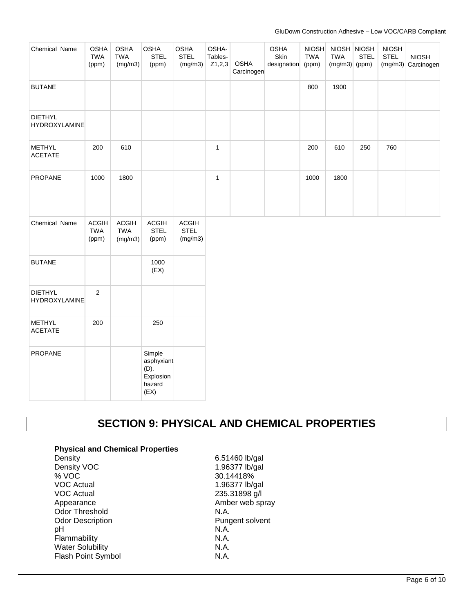#### GluDown Construction Adhesive – Low VOC/CARB Compliant

| Chemical Name                          | <b>OSHA</b><br><b>TWA</b><br>(ppm)  | <b>OSHA</b><br><b>TWA</b><br>(mg/m3)  | <b>OSHA</b><br><b>STEL</b><br>(ppm)                         | <b>OSHA</b><br><b>STEL</b><br>(mg/m3)  | OSHA-<br>Tables-<br>Z1,2,3 | <b>OSHA</b><br>Carcinogen | OSHA<br>Skin<br>designation | <b>NIOSH</b><br><b>TWA</b><br>(ppm) | NIOSH NIOSH<br><b>TWA</b><br>$(mg/m3)$ (ppm) | <b>STEL</b> | <b>NIOSH</b><br><b>STEL</b> | <b>NIOSH</b><br>$(mg/m3)$ Carcinogen |
|----------------------------------------|-------------------------------------|---------------------------------------|-------------------------------------------------------------|----------------------------------------|----------------------------|---------------------------|-----------------------------|-------------------------------------|----------------------------------------------|-------------|-----------------------------|--------------------------------------|
| <b>BUTANE</b>                          |                                     |                                       |                                                             |                                        |                            |                           |                             | 800                                 | 1900                                         |             |                             |                                      |
| <b>DIETHYL</b><br><b>HYDROXYLAMINE</b> |                                     |                                       |                                                             |                                        |                            |                           |                             |                                     |                                              |             |                             |                                      |
| <b>METHYL</b><br><b>ACETATE</b>        | 200                                 | 610                                   |                                                             |                                        | $\mathbf{1}$               |                           |                             | 200                                 | 610                                          | 250         | 760                         |                                      |
| PROPANE                                | 1000                                | 1800                                  |                                                             |                                        | $\mathbf{1}$               |                           |                             | 1000                                | 1800                                         |             |                             |                                      |
| Chemical Name                          | <b>ACGIH</b><br><b>TWA</b><br>(ppm) | <b>ACGIH</b><br><b>TWA</b><br>(mg/m3) | <b>ACGIH</b><br><b>STEL</b><br>(ppm)                        | <b>ACGIH</b><br><b>STEL</b><br>(mg/m3) |                            |                           |                             |                                     |                                              |             |                             |                                      |
| <b>BUTANE</b>                          |                                     |                                       | 1000<br>(EX)                                                |                                        |                            |                           |                             |                                     |                                              |             |                             |                                      |
| <b>DIETHYL</b><br><b>HYDROXYLAMINE</b> | $\overline{2}$                      |                                       |                                                             |                                        |                            |                           |                             |                                     |                                              |             |                             |                                      |
| <b>METHYL</b><br><b>ACETATE</b>        | 200                                 |                                       | 250                                                         |                                        |                            |                           |                             |                                     |                                              |             |                             |                                      |
| PROPANE                                |                                     |                                       | Simple<br>asphyxiant<br>(D).<br>Explosion<br>hazard<br>(EX) |                                        |                            |                           |                             |                                     |                                              |             |                             |                                      |

# **SECTION 9: PHYSICAL AND CHEMICAL PROPERTIES**

# **Physical and Chemical Properties**

| Density                   |
|---------------------------|
| Density VOC               |
| % VOC                     |
| <b>VOC Actual</b>         |
| VOC Actual                |
| Appearance                |
| Odor Threshold            |
| <b>Odor Description</b>   |
| рH                        |
| Flammability              |
| <b>Water Solubility</b>   |
| <b>Flash Point Symbol</b> |

6.51460 lb/gal 1.96377 lb/gal 30.14418% 1.96377 lb/gal 235.31898 g/l Amber web spray N.A. Pungent solvent N.A. N.A. N.A. N.A.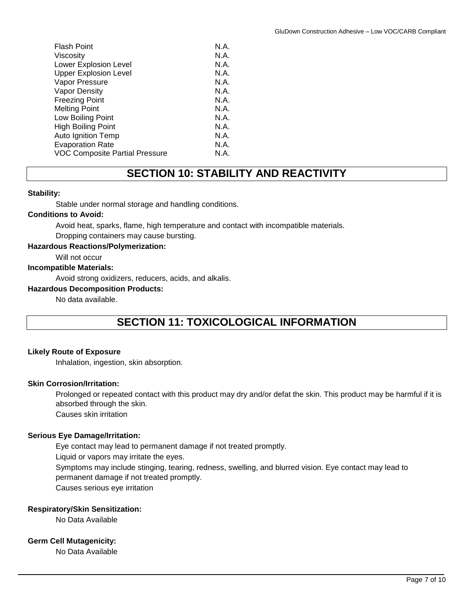| <b>Flash Point</b>             | N.A. |
|--------------------------------|------|
| Viscosity                      | N.A. |
| Lower Explosion Level          | N.A. |
| <b>Upper Explosion Level</b>   | N.A. |
| Vapor Pressure                 | N.A. |
| <b>Vapor Density</b>           | N.A. |
| <b>Freezing Point</b>          | N.A. |
| <b>Melting Point</b>           | N.A. |
| Low Boiling Point              | N.A. |
| <b>High Boiling Point</b>      | N.A. |
| <b>Auto Ignition Temp</b>      | N.A. |
| <b>Evaporation Rate</b>        | N.A. |
| VOC Composite Partial Pressure | N.A. |
|                                |      |

# **SECTION 10: STABILITY AND REACTIVITY**

# **Stability:**

Stable under normal storage and handling conditions.

# **Conditions to Avoid:**

Avoid heat, sparks, flame, high temperature and contact with incompatible materials.

Dropping containers may cause bursting.

# **Hazardous Reactions/Polymerization:**

Will not occur

# **Incompatible Materials:**

Avoid strong oxidizers, reducers, acids, and alkalis.

#### **Hazardous Decomposition Products:**

No data available.

# **SECTION 11: TOXICOLOGICAL INFORMATION**

### **Likely Route of Exposure**

Inhalation, ingestion, skin absorption.

## **Skin Corrosion/Irritation:**

Prolonged or repeated contact with this product may dry and/or defat the skin. This product may be harmful if it is absorbed through the skin.

Causes skin irritation

### **Serious Eye Damage/Irritation:**

Eye contact may lead to permanent damage if not treated promptly. Liquid or vapors may irritate the eyes. Symptoms may include stinging, tearing, redness, swelling, and blurred vision. Eye contact may lead to permanent damage if not treated promptly. Causes serious eye irritation

# **Respiratory/Skin Sensitization:**

No Data Available

# **Germ Cell Mutagenicity:**

No Data Available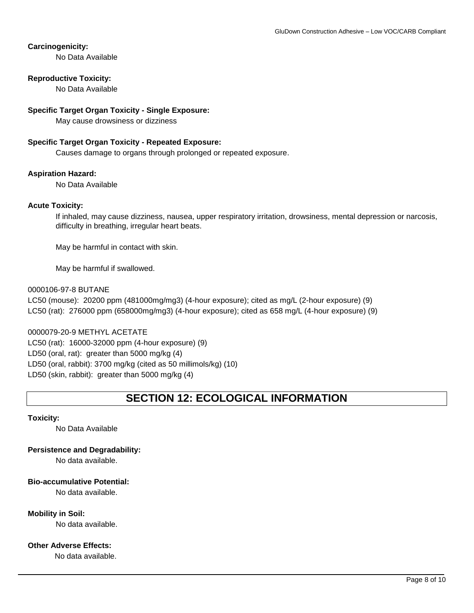# **Carcinogenicity:**

No Data Available

# **Reproductive Toxicity:**

No Data Available

## **Specific Target Organ Toxicity - Single Exposure:**

May cause drowsiness or dizziness

## **Specific Target Organ Toxicity - Repeated Exposure:**

Causes damage to organs through prolonged or repeated exposure.

# **Aspiration Hazard:**

No Data Available

# **Acute Toxicity:**

If inhaled, may cause dizziness, nausea, upper respiratory irritation, drowsiness, mental depression or narcosis, difficulty in breathing, irregular heart beats.

May be harmful in contact with skin.

May be harmful if swallowed.

# 0000106-97-8 BUTANE

LC50 (mouse): 20200 ppm (481000mg/mg3) (4-hour exposure); cited as mg/L (2-hour exposure) (9) LC50 (rat): 276000 ppm (658000mg/mg3) (4-hour exposure); cited as 658 mg/L (4-hour exposure) (9)

0000079-20-9 METHYL ACETATE LC50 (rat): 16000-32000 ppm (4-hour exposure) (9) LD50 (oral, rat): greater than 5000 mg/kg (4) LD50 (oral, rabbit): 3700 mg/kg (cited as 50 millimols/kg) (10) LD50 (skin, rabbit): greater than 5000 mg/kg (4)

# **SECTION 12: ECOLOGICAL INFORMATION**

### **Toxicity:**

No Data Available

**Persistence and Degradability:** 

No data available.

# **Bio-accumulative Potential:**

No data available.

# **Mobility in Soil:**

No data available.

# **Other Adverse Effects:**

No data available.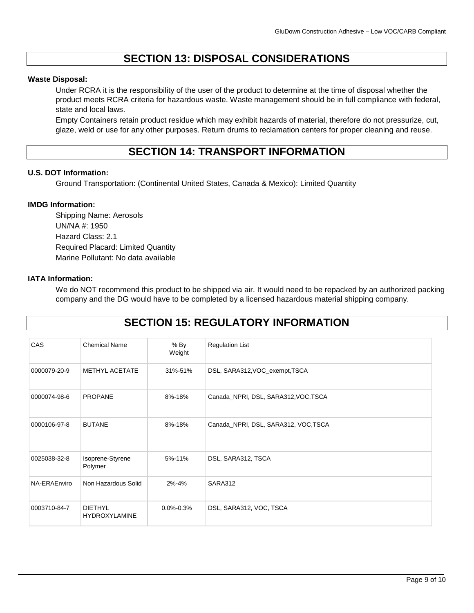# **SECTION 13: DISPOSAL CONSIDERATIONS**

# **Waste Disposal:**

Under RCRA it is the responsibility of the user of the product to determine at the time of disposal whether the product meets RCRA criteria for hazardous waste. Waste management should be in full compliance with federal, state and local laws.

Empty Containers retain product residue which may exhibit hazards of material, therefore do not pressurize, cut, glaze, weld or use for any other purposes. Return drums to reclamation centers for proper cleaning and reuse.

# **SECTION 14: TRANSPORT INFORMATION**

# **U.S. DOT Information:**

Ground Transportation: (Continental United States, Canada & Mexico): Limited Quantity

# **IMDG Information:**

Shipping Name: Aerosols UN/NA #: 1950 Hazard Class: 2.1 Required Placard: Limited Quantity Marine Pollutant: No data available

# **IATA Information:**

We do NOT recommend this product to be shipped via air. It would need to be repacked by an authorized packing company and the DG would have to be completed by a licensed hazardous material shipping company.

# **SECTION 15: REGULATORY INFORMATION**

| CAS          | <b>Chemical Name</b>                   | $%$ By<br>Weight | <b>Regulation List</b>               |
|--------------|----------------------------------------|------------------|--------------------------------------|
| 0000079-20-9 | <b>METHYL ACETATE</b>                  | 31%-51%          | DSL, SARA312, VOC_exempt, TSCA       |
| 0000074-98-6 | <b>PROPANE</b>                         | 8%-18%           | Canada_NPRI, DSL, SARA312, VOC, TSCA |
| 0000106-97-8 | <b>BUTANE</b>                          | 8%-18%           | Canada_NPRI, DSL, SARA312, VOC, TSCA |
| 0025038-32-8 | Isoprene-Styrene<br>Polymer            | 5%-11%           | DSL, SARA312, TSCA                   |
| NA-ERAEnviro | Non Hazardous Solid                    | 2%-4%            | SARA312                              |
| 0003710-84-7 | <b>DIETHYL</b><br><b>HYDROXYLAMINE</b> | $0.0\% - 0.3\%$  | DSL, SARA312, VOC, TSCA              |